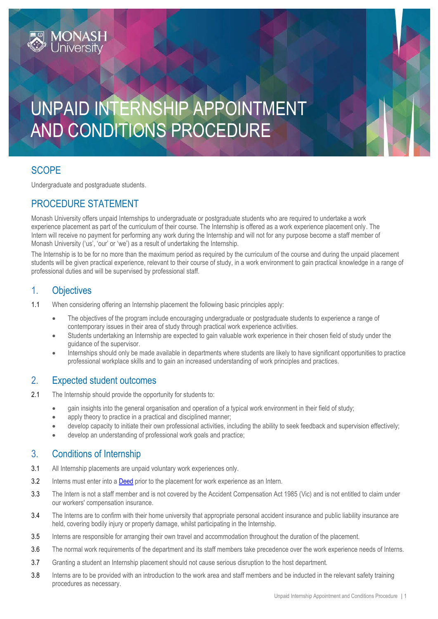# UNPAID INTERNSHIP APPOINTMENT AND CONDITIONS PROCEDURE

# **SCOPE**

Undergraduate and postgraduate students.

### PROCEDURE STATEMENT

Monash University offers unpaid Internships to undergraduate or postgraduate students who are required to undertake a work experience placement as part of the curriculum of their course. The Internship is offered as a work experience placement only. The Intern will receive no payment for performing any work during the Internship and will not for any purpose become a staff member of Monash University ('us', 'our' or 'we') as a result of undertaking the Internship.

The Internship is to be for no more than the maximum period as required by the curriculum of the course and during the unpaid placement students will be given practical experience, relevant to their course of study, in a work environment to gain practical knowledge in a range of professional duties and will be supervised by professional staff.

### 1. Objectives

1.1 When considering offering an Internship placement the following basic principles apply:

- The objectives of the program include encouraging undergraduate or postgraduate students to experience a range of contemporary issues in their area of study through practical work experience activities.
- Students undertaking an Internship are expected to gain valuable work experience in their chosen field of study under the guidance of the supervisor.
- Internships should only be made available in departments where students are likely to have significant opportunities to practice professional workplace skills and to gain an increased understanding of work principles and practices.

#### 2. Expected student outcomes

- 2.1 The Internship should provide the opportunity for students to:
	- gain insights into the general organisation and operation of a typical work environment in their field of study;
	- apply theory to practice in a practical and disciplined manner;
	- develop capacity to initiate their own professional activities, including the ability to seek feedback and supervision effectively;
	- develop an understanding of professional work goals and practice;

# 3. Conditions of Internship

- 3.1 All Internship placements are unpaid voluntary work experiences only.
- 3.2 Interns must enter into a [Deed](http://www.monash.edu/__data/assets/word_doc/0004/690763/internship-deed.doc) prior to the placement for work experience as an Intern.
- 3.3 The Intern is not a staff member and is not covered by the Accident Compensation Act 1985 (Vic) and is not entitled to claim under our workers' compensation insurance.
- 3.4 The Interns are to confirm with their home university that appropriate personal accident insurance and public liability insurance are held, covering bodily injury or property damage, whilst participating in the Internship.
- 3.5 Interns are responsible for arranging their own travel and accommodation throughout the duration of the placement.
- 3.6 The normal work requirements of the department and its staff members take precedence over the work experience needs of Interns.
- 3.7 Granting a student an Internship placement should not cause serious disruption to the host department.
- 3.8 Interns are to be provided with an introduction to the work area and staff members and be inducted in the relevant safety training procedures as necessary.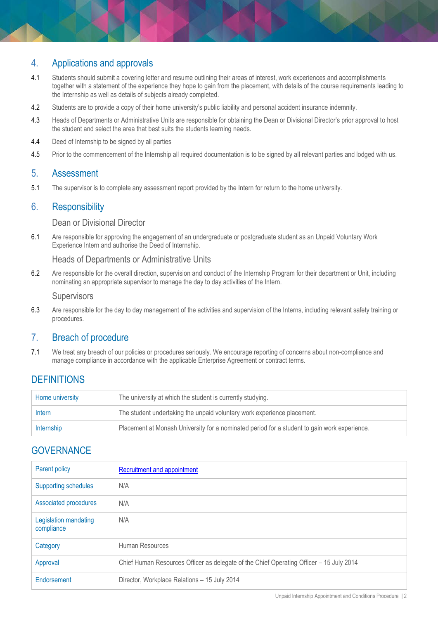### 4. Applications and approvals

- 4.1 Students should submit a covering letter and resume outlining their areas of interest, work experiences and accomplishments together with a statement of the experience they hope to gain from the placement, with details of the course requirements leading to the Internship as well as details of subjects already completed.
- 4.2 Students are to provide a copy of their home university's public liability and personal accident insurance indemnity.
- 4.3 Heads of Departments or Administrative Units are responsible for obtaining the Dean or Divisional Director's prior approval to host the student and select the area that best suits the students learning needs.
- 4.4 Deed of Internship to be signed by all parties
- 4.5 Prior to the commencement of the Internship all required documentation is to be signed by all relevant parties and lodged with us.

#### 5. Assessment

5.1 The supervisor is to complete any assessment report provided by the Intern for return to the home university.

#### 6. Responsibility

Dean or Divisional Director

6.1 Are responsible for approving the engagement of an undergraduate or postgraduate student as an Unpaid Voluntary Work Experience Intern and authorise the Deed of Internship.

Heads of Departments or Administrative Units

6.2 Are responsible for the overall direction, supervision and conduct of the Internship Program for their department or Unit, including nominating an appropriate supervisor to manage the day to day activities of the Intern.

**Supervisors** 

6.3 Are responsible for the day to day management of the activities and supervision of the Interns, including relevant safety training or procedures.

#### 7. Breach of procedure

7.1 We treat any breach of our policies or procedures seriously. We encourage reporting of concerns about non-compliance and manage compliance in accordance with the applicable Enterprise Agreement or contract terms.

#### **DEFINITIONS**

| Home university | The university at which the student is currently studying.                                   |
|-----------------|----------------------------------------------------------------------------------------------|
| Intern          | The student undertaking the unpaid voluntary work experience placement.                      |
| Internship      | Placement at Monash University for a nominated period for a student to gain work experience. |

#### **GOVERNANCE**

| Parent policy                       | <b>Recruitment and appointment</b>                                                      |
|-------------------------------------|-----------------------------------------------------------------------------------------|
| <b>Supporting schedules</b>         | N/A                                                                                     |
| Associated procedures               | N/A                                                                                     |
| Legislation mandating<br>compliance | N/A                                                                                     |
| Category                            | Human Resources                                                                         |
| Approval                            | Chief Human Resources Officer as delegate of the Chief Operating Officer - 15 July 2014 |
| Endorsement                         | Director, Workplace Relations - 15 July 2014                                            |